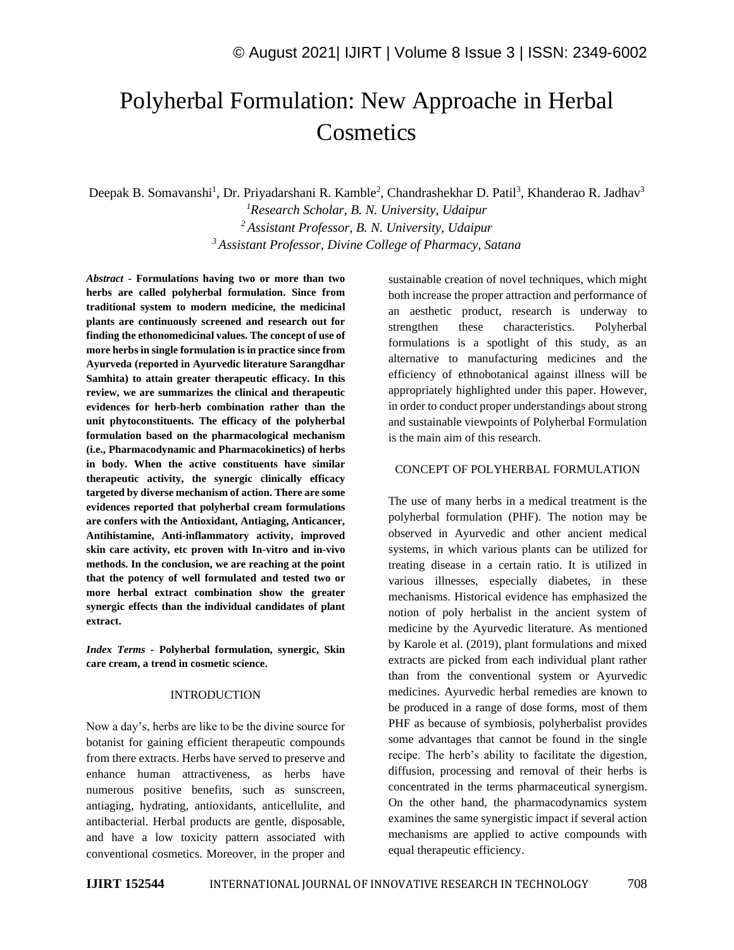# Polyherbal Formulation: New Approache in Herbal **Cosmetics**

Deepak B. Somavanshi<sup>1</sup>, Dr. Priyadarshani R. Kamble<sup>2</sup>, Chandrashekhar D. Patil<sup>3</sup>, Khanderao R. Jadhav<sup>3</sup> *<sup>1</sup>Research Scholar, B. N. University, Udaipur*

*<sup>2</sup>Assistant Professor, B. N. University, Udaipur <sup>3</sup> Assistant Professor, Divine College of Pharmacy, Satana*

*Abstract -* **Formulations having two or more than two herbs are called polyherbal formulation. Since from traditional system to modern medicine, the medicinal plants are continuously screened and research out for finding the ethonomedicinal values. The concept of use of more herbs in single formulation is in practice since from Ayurveda (reported in Ayurvedic literature Sarangdhar Samhita) to attain greater therapeutic efficacy. In this review, we are summarizes the clinical and therapeutic evidences for herb-herb combination rather than the unit phytoconstituents. The efficacy of the polyherbal formulation based on the pharmacological mechanism (i.e., Pharmacodynamic and Pharmacokinetics) of herbs in body. When the active constituents have similar therapeutic activity, the synergic clinically efficacy targeted by diverse mechanism of action. There are some evidences reported that polyherbal cream formulations are confers with the Antioxidant, Antiaging, Anticancer, Antihistamine, Anti-inflammatory activity, improved skin care activity, etc proven with In-vitro and in-vivo methods. In the conclusion, we are reaching at the point that the potency of well formulated and tested two or more herbal extract combination show the greater synergic effects than the individual candidates of plant extract.**

*Index Terms -* **Polyherbal formulation, synergic, Skin care cream, a trend in cosmetic science.**

#### INTRODUCTION

Now a day's, herbs are like to be the divine source for botanist for gaining efficient therapeutic compounds from there extracts. Herbs have served to preserve and enhance human attractiveness, as herbs have numerous positive benefits, such as sunscreen, antiaging, hydrating, antioxidants, anticellulite, and antibacterial. Herbal products are gentle, disposable, and have a low toxicity pattern associated with conventional cosmetics. Moreover, in the proper and sustainable creation of novel techniques, which might both increase the proper attraction and performance of an aesthetic product, research is underway to strengthen these characteristics. Polyherbal formulations is a spotlight of this study, as an alternative to manufacturing medicines and the efficiency of ethnobotanical against illness will be appropriately highlighted under this paper. However, in order to conduct proper understandings about strong and sustainable viewpoints of Polyherbal Formulation is the main aim of this research.

## CONCEPT OF POLYHERBAL FORMULATION

The use of many herbs in a medical treatment is the polyherbal formulation (PHF). The notion may be observed in Ayurvedic and other ancient medical systems, in which various plants can be utilized for treating disease in a certain ratio. It is utilized in various illnesses, especially diabetes, in these mechanisms. Historical evidence has emphasized the notion of poly herbalist in the ancient system of medicine by the Ayurvedic literature. As mentioned by Karole et al. (2019), plant formulations and mixed extracts are picked from each individual plant rather than from the conventional system or Ayurvedic medicines. Ayurvedic herbal remedies are known to be produced in a range of dose forms, most of them PHF as because of symbiosis, polyherbalist provides some advantages that cannot be found in the single recipe. The herb's ability to facilitate the digestion, diffusion, processing and removal of their herbs is concentrated in the terms pharmaceutical synergism. On the other hand, the pharmacodynamics system examines the same synergistic impact if several action mechanisms are applied to active compounds with equal therapeutic efficiency.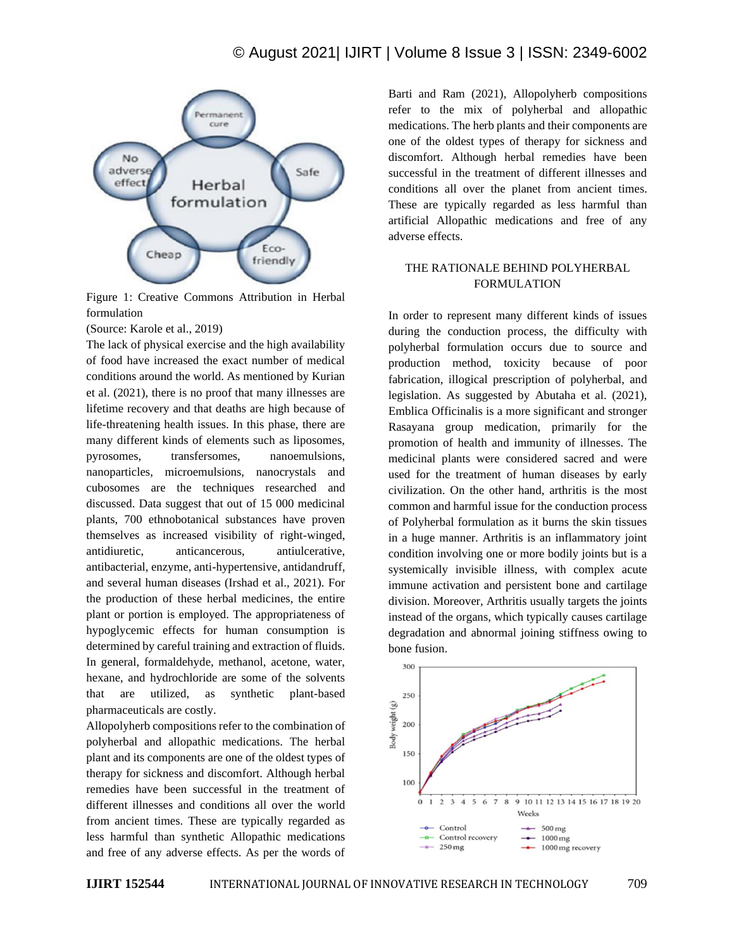

Figure 1: Creative Commons Attribution in Herbal formulation

(Source: Karole et al., 2019)

The lack of physical exercise and the high availability of food have increased the exact number of medical conditions around the world. As mentioned by Kurian et al. (2021), there is no proof that many illnesses are lifetime recovery and that deaths are high because of life-threatening health issues. In this phase, there are many different kinds of elements such as liposomes, pyrosomes, transfersomes, nanoemulsions, nanoparticles, microemulsions, nanocrystals and cubosomes are the techniques researched and discussed. Data suggest that out of 15 000 medicinal plants, 700 ethnobotanical substances have proven themselves as increased visibility of right-winged, antidiuretic, anticancerous, antiulcerative, antibacterial, enzyme, anti-hypertensive, antidandruff, and several human diseases (Irshad et al., 2021). For the production of these herbal medicines, the entire plant or portion is employed. The appropriateness of hypoglycemic effects for human consumption is determined by careful training and extraction of fluids. In general, formaldehyde, methanol, acetone, water, hexane, and hydrochloride are some of the solvents that are utilized, as synthetic plant-based pharmaceuticals are costly.

Allopolyherb compositions refer to the combination of polyherbal and allopathic medications. The herbal plant and its components are one of the oldest types of therapy for sickness and discomfort. Although herbal remedies have been successful in the treatment of different illnesses and conditions all over the world from ancient times. These are typically regarded as less harmful than synthetic Allopathic medications and free of any adverse effects. As per the words of Barti and Ram (2021), Allopolyherb compositions refer to the mix of polyherbal and allopathic medications. The herb plants and their components are one of the oldest types of therapy for sickness and discomfort. Although herbal remedies have been successful in the treatment of different illnesses and conditions all over the planet from ancient times. These are typically regarded as less harmful than artificial Allopathic medications and free of any adverse effects.

## THE RATIONALE BEHIND POLYHERBAL FORMULATION

In order to represent many different kinds of issues during the conduction process, the difficulty with polyherbal formulation occurs due to source and production method, toxicity because of poor fabrication, illogical prescription of polyherbal, and legislation. As suggested by Abutaha et al. (2021), Emblica Officinalis is a more significant and stronger Rasayana group medication, primarily for the promotion of health and immunity of illnesses. The medicinal plants were considered sacred and were used for the treatment of human diseases by early civilization. On the other hand, arthritis is the most common and harmful issue for the conduction process of Polyherbal formulation as it burns the skin tissues in a huge manner. Arthritis is an inflammatory joint condition involving one or more bodily joints but is a systemically invisible illness, with complex acute immune activation and persistent bone and cartilage division. Moreover, Arthritis usually targets the joints instead of the organs, which typically causes cartilage degradation and abnormal joining stiffness owing to bone fusion.

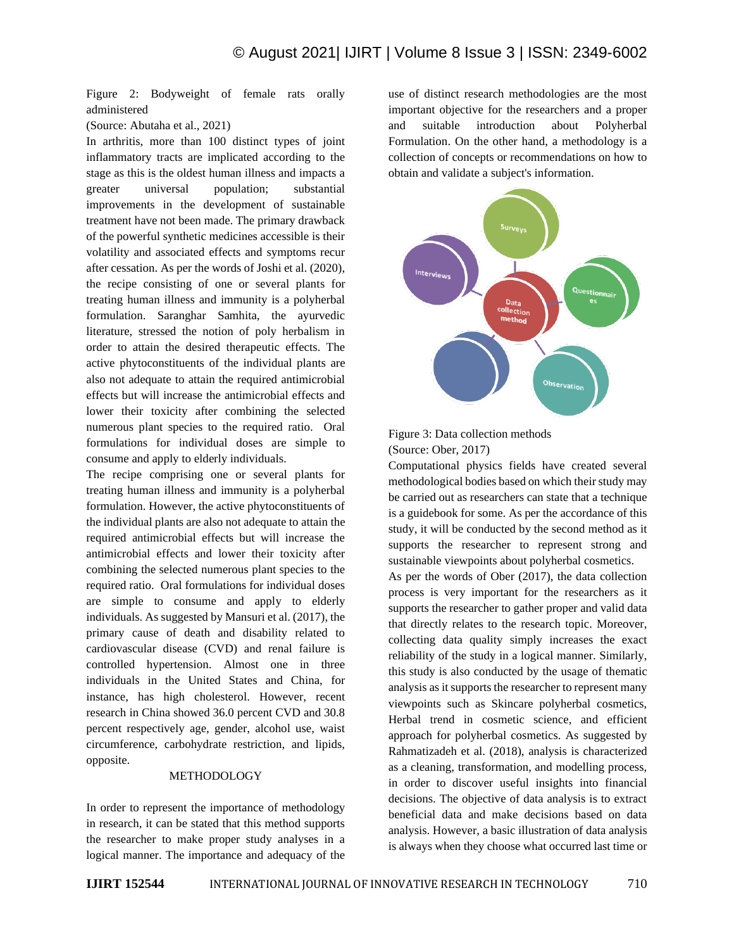Figure 2: Bodyweight of female rats orally administered

(Source: Abutaha et al., 2021)

In arthritis, more than 100 distinct types of joint inflammatory tracts are implicated according to the stage as this is the oldest human illness and impacts a greater universal population; substantial improvements in the development of sustainable treatment have not been made. The primary drawback of the powerful synthetic medicines accessible is their volatility and associated effects and symptoms recur after cessation. As per the words of Joshi et al. (2020), the recipe consisting of one or several plants for treating human illness and immunity is a polyherbal formulation. Saranghar Samhita, the ayurvedic literature, stressed the notion of poly herbalism in order to attain the desired therapeutic effects. The active phytoconstituents of the individual plants are also not adequate to attain the required antimicrobial effects but will increase the antimicrobial effects and lower their toxicity after combining the selected numerous plant species to the required ratio. Oral formulations for individual doses are simple to consume and apply to elderly individuals.

The recipe comprising one or several plants for treating human illness and immunity is a polyherbal formulation. However, the active phytoconstituents of the individual plants are also not adequate to attain the required antimicrobial effects but will increase the antimicrobial effects and lower their toxicity after combining the selected numerous plant species to the required ratio. Oral formulations for individual doses are simple to consume and apply to elderly individuals. As suggested by Mansuri et al. (2017), the primary cause of death and disability related to cardiovascular disease (CVD) and renal failure is controlled hypertension. Almost one in three individuals in the United States and China, for instance, has high cholesterol. However, recent research in China showed 36.0 percent CVD and 30.8 percent respectively age, gender, alcohol use, waist circumference, carbohydrate restriction, and lipids, opposite.

#### METHODOLOGY

In order to represent the importance of methodology in research, it can be stated that this method supports the researcher to make proper study analyses in a logical manner. The importance and adequacy of the use of distinct research methodologies are the most important objective for the researchers and a proper and suitable introduction about Polyherbal Formulation. On the other hand, a methodology is a collection of concepts or recommendations on how to obtain and validate a subject's information.





Computational physics fields have created several methodological bodies based on which their study may be carried out as researchers can state that a technique is a guidebook for some. As per the accordance of this study, it will be conducted by the second method as it supports the researcher to represent strong and sustainable viewpoints about polyherbal cosmetics. As per the words of Ober (2017), the data collection process is very important for the researchers as it supports the researcher to gather proper and valid data that directly relates to the research topic. Moreover, collecting data quality simply increases the exact reliability of the study in a logical manner. Similarly, this study is also conducted by the usage of thematic analysis as it supports the researcher to represent many viewpoints such as Skincare polyherbal cosmetics, Herbal trend in cosmetic science, and efficient approach for polyherbal cosmetics. As suggested by Rahmatizadeh et al. (2018), analysis is characterized as a cleaning, transformation, and modelling process, in order to discover useful insights into financial decisions. The objective of data analysis is to extract beneficial data and make decisions based on data analysis. However, a basic illustration of data analysis

is always when they choose what occurred last time or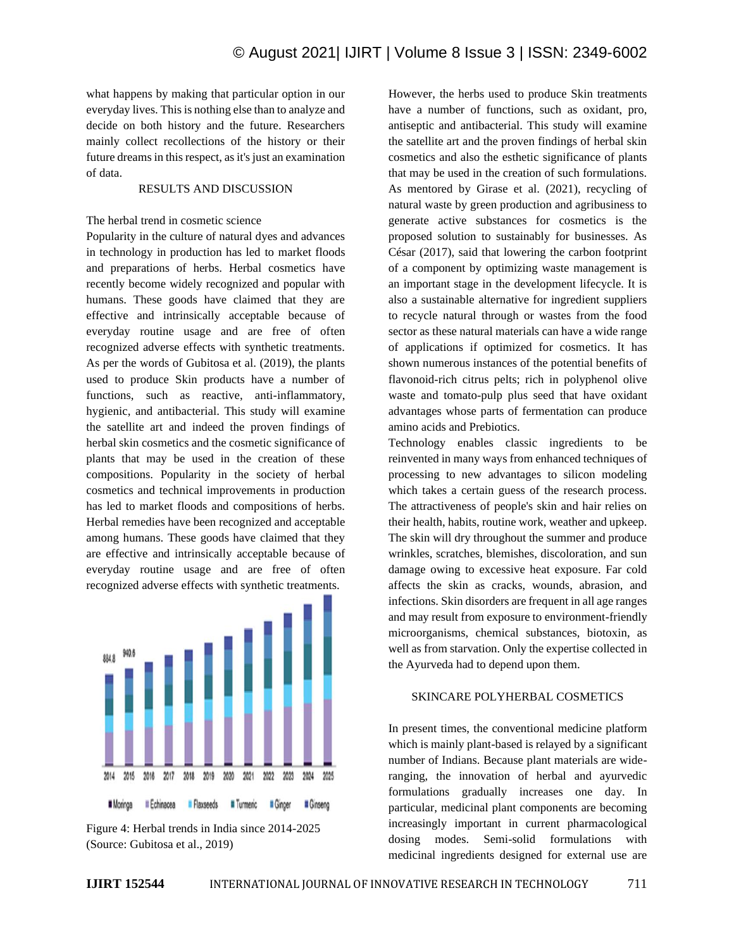what happens by making that particular option in our everyday lives. This is nothing else than to analyze and decide on both history and the future. Researchers mainly collect recollections of the history or their future dreams in this respect, as it's just an examination of data.

## RESULTS AND DISCUSSION

## The herbal trend in cosmetic science

Popularity in the culture of natural dyes and advances in technology in production has led to market floods and preparations of herbs. Herbal cosmetics have recently become widely recognized and popular with humans. These goods have claimed that they are effective and intrinsically acceptable because of everyday routine usage and are free of often recognized adverse effects with synthetic treatments. As per the words of Gubitosa et al. (2019), the plants used to produce Skin products have a number of functions, such as reactive, anti-inflammatory, hygienic, and antibacterial. This study will examine the satellite art and indeed the proven findings of herbal skin cosmetics and the cosmetic significance of plants that may be used in the creation of these compositions. Popularity in the society of herbal cosmetics and technical improvements in production has led to market floods and compositions of herbs. Herbal remedies have been recognized and acceptable among humans. These goods have claimed that they are effective and intrinsically acceptable because of everyday routine usage and are free of often recognized adverse effects with synthetic treatments.





However, the herbs used to produce Skin treatments have a number of functions, such as oxidant, pro, antiseptic and antibacterial. This study will examine the satellite art and the proven findings of herbal skin cosmetics and also the esthetic significance of plants that may be used in the creation of such formulations. As mentored by Girase et al. (2021), recycling of natural waste by green production and agribusiness to generate active substances for cosmetics is the proposed solution to sustainably for businesses. As César (2017), said that lowering the carbon footprint of a component by optimizing waste management is an important stage in the development lifecycle. It is also a sustainable alternative for ingredient suppliers to recycle natural through or wastes from the food sector as these natural materials can have a wide range of applications if optimized for cosmetics. It has shown numerous instances of the potential benefits of flavonoid-rich citrus pelts; rich in polyphenol olive waste and tomato-pulp plus seed that have oxidant advantages whose parts of fermentation can produce amino acids and Prebiotics.

Technology enables classic ingredients to be reinvented in many ways from enhanced techniques of processing to new advantages to silicon modeling which takes a certain guess of the research process. The attractiveness of people's skin and hair relies on their health, habits, routine work, weather and upkeep. The skin will dry throughout the summer and produce wrinkles, scratches, blemishes, discoloration, and sun damage owing to excessive heat exposure. Far cold affects the skin as cracks, wounds, abrasion, and infections. Skin disorders are frequent in all age ranges and may result from exposure to environment-friendly microorganisms, chemical substances, biotoxin, as well as from starvation. Only the expertise collected in the Ayurveda had to depend upon them.

#### SKINCARE POLYHERBAL COSMETICS

In present times, the conventional medicine platform which is mainly plant-based is relayed by a significant number of Indians. Because plant materials are wideranging, the innovation of herbal and ayurvedic formulations gradually increases one day. In particular, medicinal plant components are becoming increasingly important in current pharmacological dosing modes. Semi-solid formulations with medicinal ingredients designed for external use are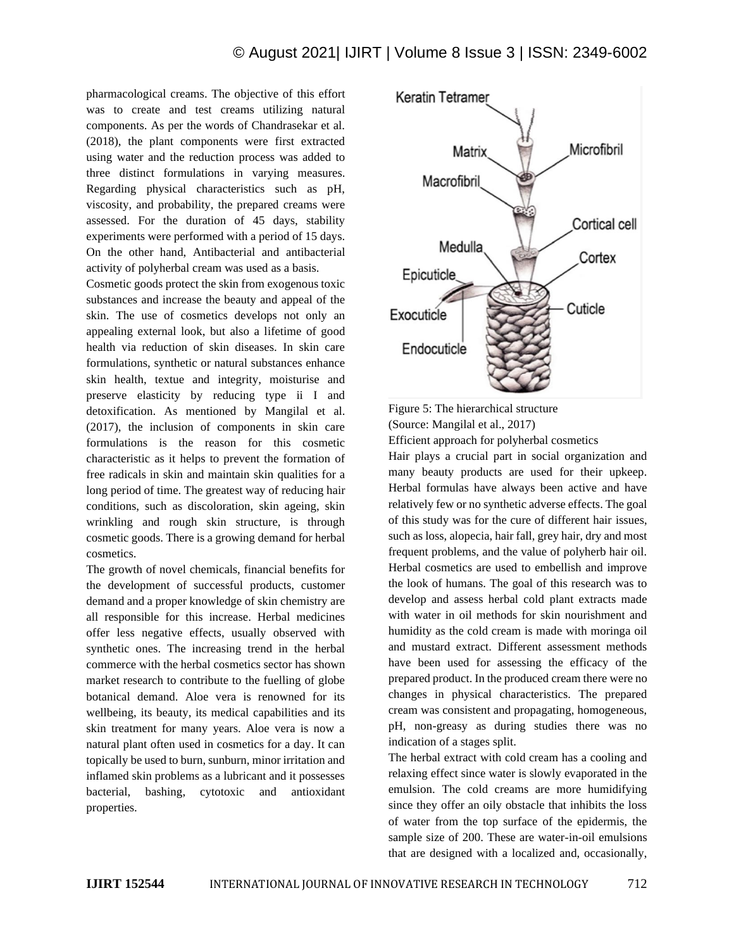pharmacological creams. The objective of this effort was to create and test creams utilizing natural components. As per the words of Chandrasekar et al. (2018), the plant components were first extracted using water and the reduction process was added to three distinct formulations in varying measures. Regarding physical characteristics such as pH, viscosity, and probability, the prepared creams were assessed. For the duration of 45 days, stability experiments were performed with a period of 15 days. On the other hand, Antibacterial and antibacterial activity of polyherbal cream was used as a basis.

Cosmetic goods protect the skin from exogenous toxic substances and increase the beauty and appeal of the skin. The use of cosmetics develops not only an appealing external look, but also a lifetime of good health via reduction of skin diseases. In skin care formulations, synthetic or natural substances enhance skin health, textue and integrity, moisturise and preserve elasticity by reducing type ii I and detoxification. As mentioned by Mangilal et al. (2017), the inclusion of components in skin care formulations is the reason for this cosmetic characteristic as it helps to prevent the formation of free radicals in skin and maintain skin qualities for a long period of time. The greatest way of reducing hair conditions, such as discoloration, skin ageing, skin wrinkling and rough skin structure, is through cosmetic goods. There is a growing demand for herbal cosmetics.

The growth of novel chemicals, financial benefits for the development of successful products, customer demand and a proper knowledge of skin chemistry are all responsible for this increase. Herbal medicines offer less negative effects, usually observed with synthetic ones. The increasing trend in the herbal commerce with the herbal cosmetics sector has shown market research to contribute to the fuelling of globe botanical demand. Aloe vera is renowned for its wellbeing, its beauty, its medical capabilities and its skin treatment for many years. Aloe vera is now a natural plant often used in cosmetics for a day. It can topically be used to burn, sunburn, minor irritation and inflamed skin problems as a lubricant and it possesses bacterial, bashing, cytotoxic and antioxidant properties.





Hair plays a crucial part in social organization and many beauty products are used for their upkeep. Herbal formulas have always been active and have relatively few or no synthetic adverse effects. The goal of this study was for the cure of different hair issues, such as loss, alopecia, hair fall, grey hair, dry and most frequent problems, and the value of polyherb hair oil. Herbal cosmetics are used to embellish and improve the look of humans. The goal of this research was to develop and assess herbal cold plant extracts made with water in oil methods for skin nourishment and humidity as the cold cream is made with moringa oil and mustard extract. Different assessment methods have been used for assessing the efficacy of the prepared product. In the produced cream there were no changes in physical characteristics. The prepared cream was consistent and propagating, homogeneous, pH, non-greasy as during studies there was no indication of a stages split.

The herbal extract with cold cream has a cooling and relaxing effect since water is slowly evaporated in the emulsion. The cold creams are more humidifying since they offer an oily obstacle that inhibits the loss of water from the top surface of the epidermis, the sample size of 200. These are water-in-oil emulsions that are designed with a localized and, occasionally,